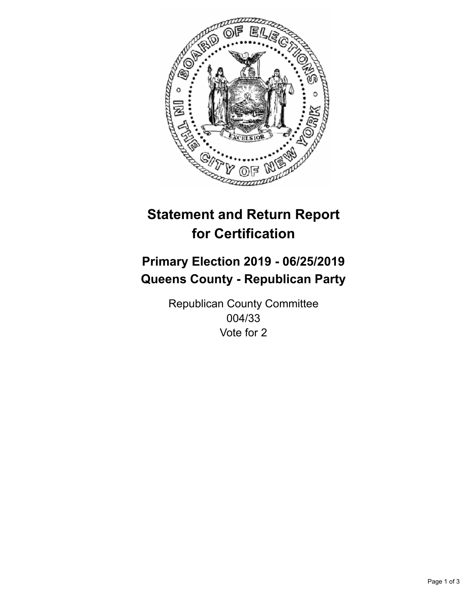

## **Statement and Return Report for Certification**

## **Primary Election 2019 - 06/25/2019 Queens County - Republican Party**

Republican County Committee 004/33 Vote for 2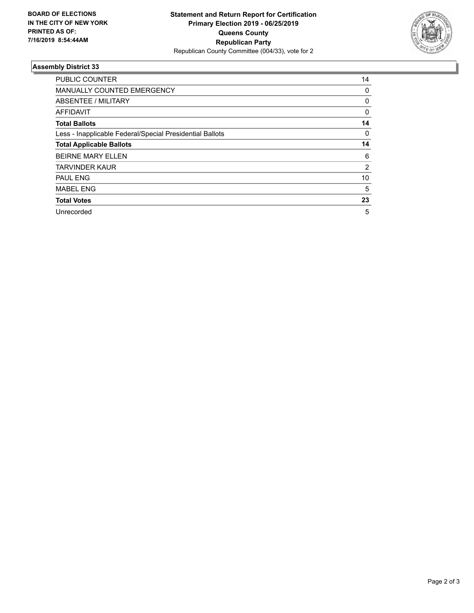

## **Assembly District 33**

| <b>PUBLIC COUNTER</b>                                    | 14       |
|----------------------------------------------------------|----------|
| <b>MANUALLY COUNTED EMERGENCY</b>                        | 0        |
| ABSENTEE / MILITARY                                      | 0        |
| AFFIDAVIT                                                | 0        |
| <b>Total Ballots</b>                                     | 14       |
| Less - Inapplicable Federal/Special Presidential Ballots | $\Omega$ |
| <b>Total Applicable Ballots</b>                          | 14       |
| <b>BEIRNE MARY ELLEN</b>                                 | 6        |
| <b>TARVINDER KAUR</b>                                    | 2        |
| <b>PAUL ENG</b>                                          | 10       |
| <b>MABEL ENG</b>                                         | 5        |
| <b>Total Votes</b>                                       | 23       |
| Unrecorded                                               | 5        |